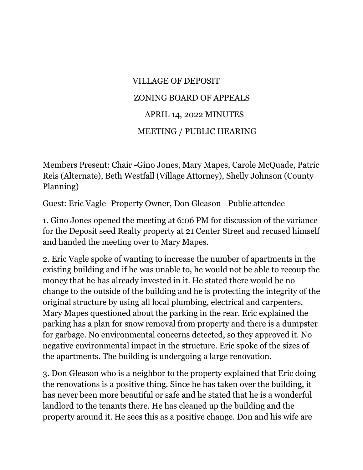## VILLAGE OF DEPOSIT ZONING BOARD OF APPEALS APRIL 14, 2022 MINUTES MEETING / PUBLIC HEARING

Members Present: Chair -Gino Jones, Mary Mapes, Carole McQuade, Patric Reis (Alternate), Beth Westfall (Village Attorney), Shelly Johnson (County Planning)

Guest: Eric Vagle- Property Owner, Don Gleason - Public attendee

1. Gino Jones opened the meeting at 6:06 PM for discussion of the variance for the Deposit seed Realty property at 21 Center Street and recused himself and handed the meeting over to Mary Mapes.

2. Eric Vagle spoke of wanting to increase the number of apartments in the existing building and if he was unable to, he would not be able to recoup the money that he has already invested in it. He stated there would be no change to the outside of the building and he is protecting the integrity of the original structure by using all local plumbing, electrical and carpenters. Mary Mapes questioned about the parking in the rear. Eric explained the parking has a plan for snow removal from property and there is a dumpster for garbage. No environmental concerns detected, so they approved it. No negative environmental impact in the structure. Eric spoke of the sizes of the apartments. The building is undergoing a large renovation.

3. Don Gleason who is a neighbor to the property explained that Eric doing the renovations is a positive thing. Since he has taken over the building, it has never been more beautiful or safe and he stated that he is a wonderful landlord to the tenants there. He has cleaned up the building and the property around it. He sees this as a positive change. Don and his wife are